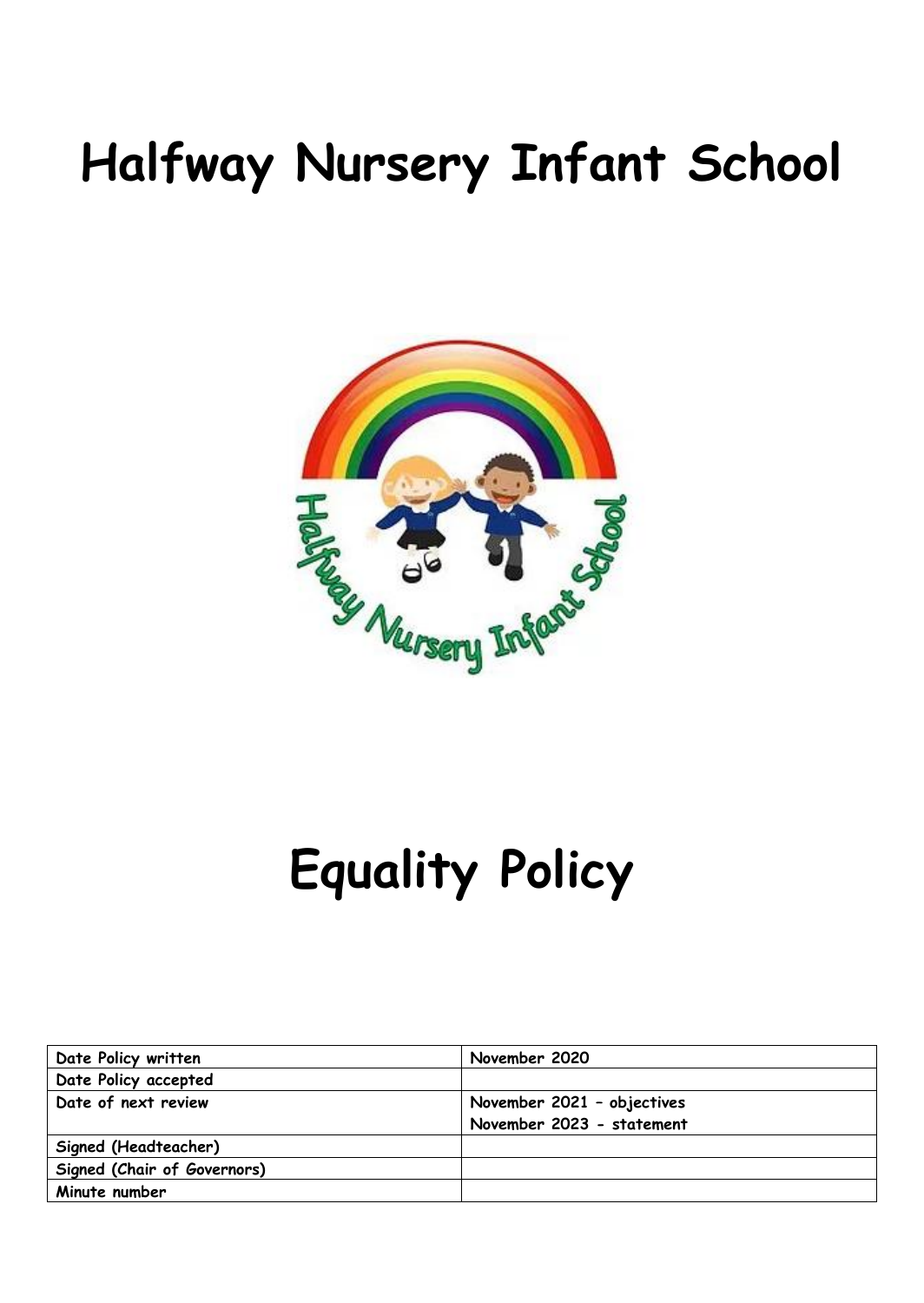## **Halfway Nursery Infant School**



# **Equality Policy**

| Date Policy written         | November 2020              |  |  |
|-----------------------------|----------------------------|--|--|
| Date Policy accepted        |                            |  |  |
| Date of next review         | November 2021 - objectives |  |  |
|                             | November 2023 - statement  |  |  |
| Signed (Headteacher)        |                            |  |  |
| Signed (Chair of Governors) |                            |  |  |
| Minute number               |                            |  |  |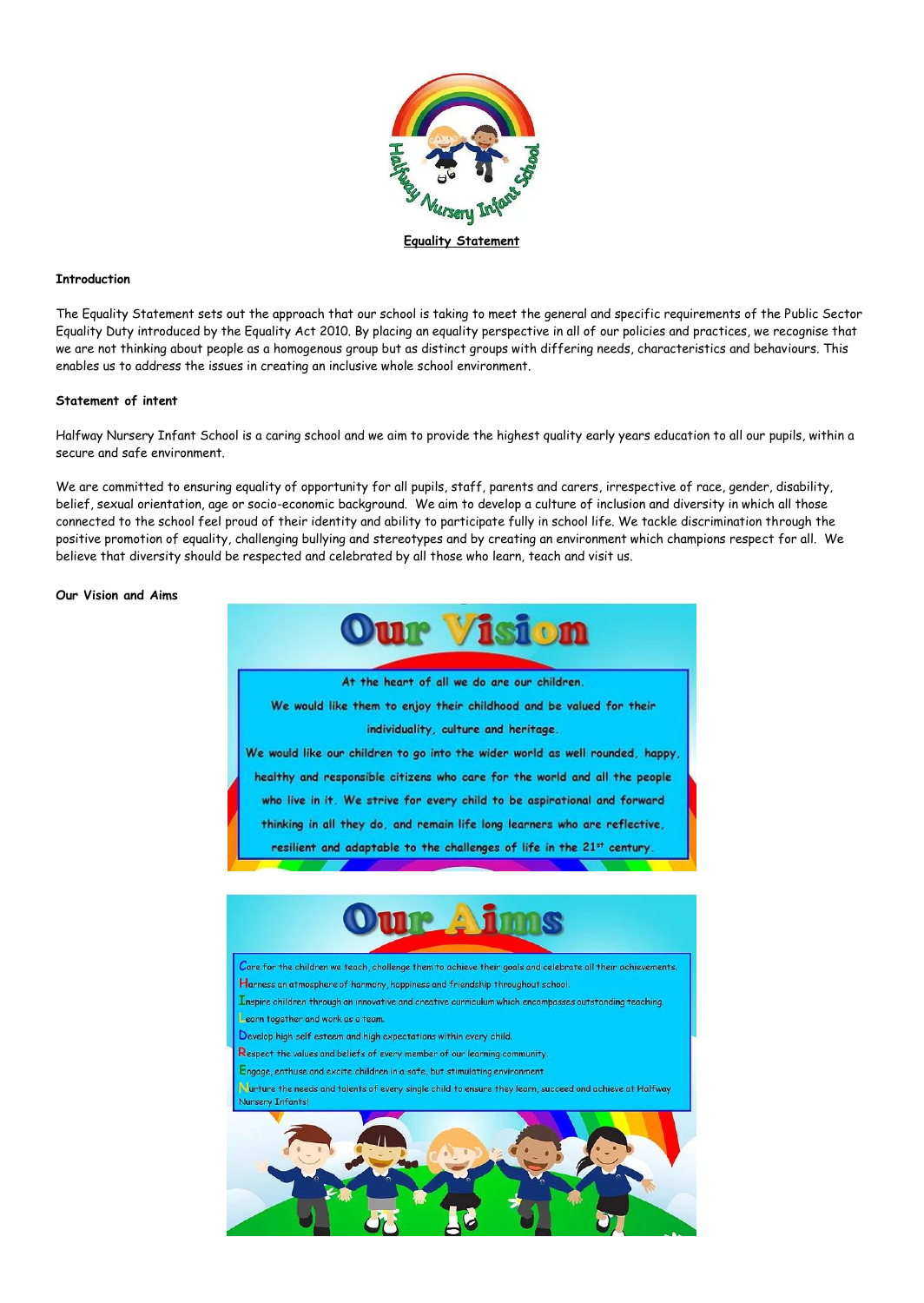

#### **Introduction**

The Equality Statement sets out the approach that our school is taking to meet the general and specific requirements of the Public Sector Equality Duty introduced by the Equality Act 2010. By placing an equality perspective in all of our policies and practices, we recognise that we are not thinking about people as a homogenous group but as distinct groups with differing needs, characteristics and behaviours. This enables us to address the issues in creating an inclusive whole school environment.

#### **Statement of intent**

Halfway Nursery Infant School is a caring school and we aim to provide the highest quality early years education to all our pupils, within a secure and safe environment.

We are committed to ensuring equality of opportunity for all pupils, staff, parents and carers, irrespective of race, gender, disability, belief, sexual orientation, age or socio-economic background. We aim to develop a culture of inclusion and diversity in which all those connected to the school feel proud of their identity and ability to participate fully in school life. We tackle discrimination through the positive promotion of equality, challenging bullying and stereotypes and by creating an environment which champions respect for all. We believe that diversity should be respected and celebrated by all those who learn, teach and visit us.

#### **Our Vision and Aims**

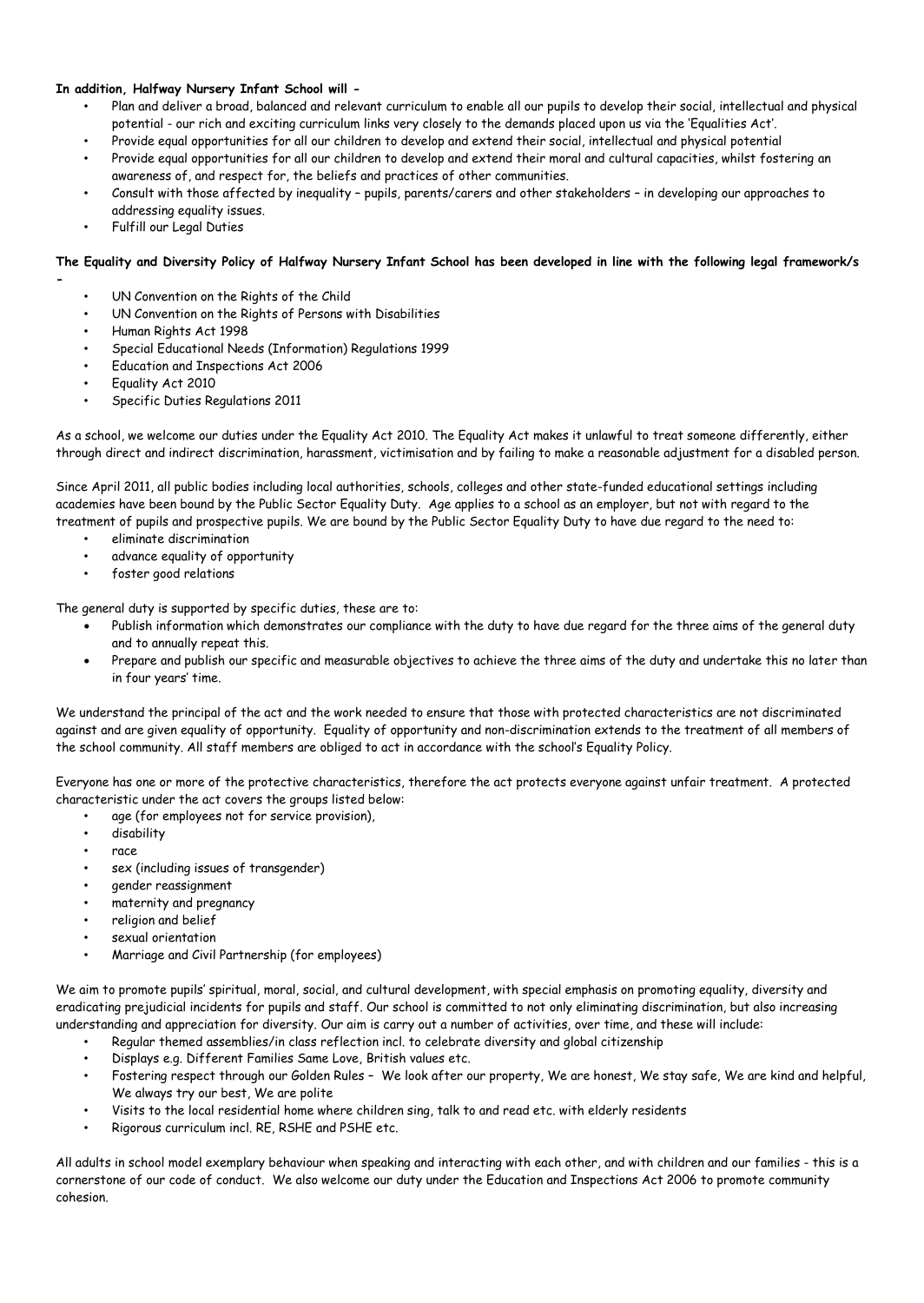#### **In addition, Halfway Nursery Infant School will -**

- Plan and deliver a broad, balanced and relevant curriculum to enable all our pupils to develop their social, intellectual and physical potential - our rich and exciting curriculum links very closely to the demands placed upon us via the 'Equalities Act'.
- Provide equal opportunities for all our children to develop and extend their social, intellectual and physical potential
- Provide equal opportunities for all our children to develop and extend their moral and cultural capacities, whilst fostering an awareness of, and respect for, the beliefs and practices of other communities.
- Consult with those affected by inequality pupils, parents/carers and other stakeholders in developing our approaches to addressing equality issues.
- Fulfill our Legal Duties

#### **The Equality and Diversity Policy of Halfway Nursery Infant School has been developed in line with the following legal framework/s**

- UN Convention on the Rights of the Child
- UN Convention on the Rights of Persons with Disabilities
- Human Rights Act 1998
- Special Educational Needs (Information) Regulations 1999
- Education and Inspections Act 2006
- Equality Act 2010

**-**

• Specific Duties Regulations 2011

As a school, we welcome our duties under the Equality Act 2010. The Equality Act makes it unlawful to treat someone differently, either through direct and indirect discrimination, harassment, victimisation and by failing to make a reasonable adjustment for a disabled person.

Since April 2011, all public bodies including local authorities, schools, colleges and other state-funded educational settings including academies have been bound by the Public Sector Equality Duty. Age applies to a school as an employer, but not with regard to the treatment of pupils and prospective pupils. We are bound by the Public Sector Equality Duty to have due regard to the need to:

- eliminate discrimination
- advance equality of opportunity
- foster good relations

The general duty is supported by specific duties, these are to:

- Publish information which demonstrates our compliance with the duty to have due regard for the three aims of the general duty and to annually repeat this.
- Prepare and publish our specific and measurable objectives to achieve the three aims of the duty and undertake this no later than in four years' time.

We understand the principal of the act and the work needed to ensure that those with protected characteristics are not discriminated against and are given equality of opportunity. Equality of opportunity and non-discrimination extends to the treatment of all members of the school community. All staff members are obliged to act in accordance with the school's Equality Policy.

Everyone has one or more of the protective characteristics, therefore the act protects everyone against unfair treatment. A protected characteristic under the act covers the groups listed below:

- age (for employees not for service provision),
- disability
- race
- sex (including issues of transgender)
- gender reassignment
- maternity and pregnancy
- religion and belief
- sexual orientation
- Marriage and Civil Partnership (for employees)

We aim to promote pupils' spiritual, moral, social, and cultural development, with special emphasis on promoting equality, diversity and eradicating prejudicial incidents for pupils and staff. Our school is committed to not only eliminating discrimination, but also increasing understanding and appreciation for diversity. Our aim is carry out a number of activities, over time, and these will include:

- Regular themed assemblies/in class reflection incl. to celebrate diversity and global citizenship
- Displays e.g. Different Families Same Love, British values etc.
- Fostering respect through our Golden Rules We look after our property, We are honest, We stay safe, We are kind and helpful, We always try our best, We are polite
- Visits to the local residential home where children sing, talk to and read etc. with elderly residents
- Rigorous curriculum incl. RE, RSHE and PSHE etc.

All adults in school model exemplary behaviour when speaking and interacting with each other, and with children and our families - this is a cornerstone of our code of conduct. We also welcome our duty under the Education and Inspections Act 2006 to promote community cohesion.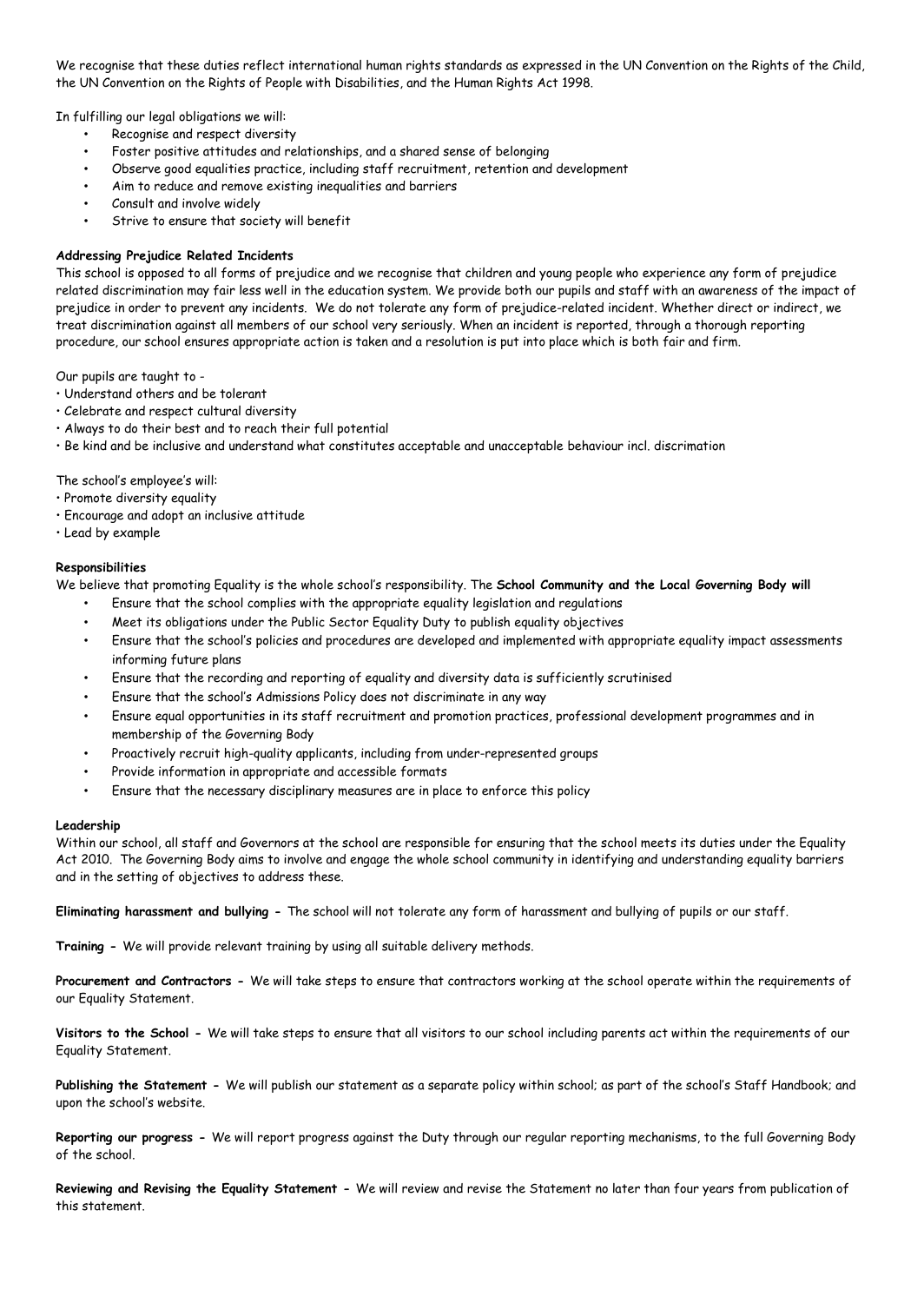We recognise that these duties reflect international human rights standards as expressed in the UN Convention on the Rights of the Child, the UN Convention on the Rights of People with Disabilities, and the Human Rights Act 1998.

In fulfilling our legal obligations we will:

- Recognise and respect diversity
- Foster positive attitudes and relationships, and a shared sense of belonging
- Observe good equalities practice, including staff recruitment, retention and development
- Aim to reduce and remove existing inequalities and barriers
- Consult and involve widely
- Strive to ensure that society will benefit

#### **Addressing Prejudice Related Incidents**

This school is opposed to all forms of prejudice and we recognise that children and young people who experience any form of prejudice related discrimination may fair less well in the education system. We provide both our pupils and staff with an awareness of the impact of prejudice in order to prevent any incidents. We do not tolerate any form of prejudice-related incident. Whether direct or indirect, we treat discrimination against all members of our school very seriously. When an incident is reported, through a thorough reporting procedure, our school ensures appropriate action is taken and a resolution is put into place which is both fair and firm.

Our pupils are taught to -

- Understand others and be tolerant
- Celebrate and respect cultural diversity
- Always to do their best and to reach their full potential
- Be kind and be inclusive and understand what constitutes acceptable and unacceptable behaviour incl. discrimation

The school's employee's will:

- Promote diversity equality
- Encourage and adopt an inclusive attitude
- Lead by example

#### **Responsibilities**

We believe that promoting Equality is the whole school's responsibility. The **School Community and the Local Governing Body will**

- Ensure that the school complies with the appropriate equality legislation and regulations
- Meet its obligations under the Public Sector Equality Duty to publish equality objectives
- Ensure that the school's policies and procedures are developed and implemented with appropriate equality impact assessments informing future plans
- Ensure that the recording and reporting of equality and diversity data is sufficiently scrutinised
- Ensure that the school's Admissions Policy does not discriminate in any way
- Ensure equal opportunities in its staff recruitment and promotion practices, professional development programmes and in membership of the Governing Body
- Proactively recruit high-quality applicants, including from under-represented groups
- Provide information in appropriate and accessible formats
- Ensure that the necessary disciplinary measures are in place to enforce this policy

#### **Leadership**

Within our school, all staff and Governors at the school are responsible for ensuring that the school meets its duties under the Equality Act 2010. The Governing Body aims to involve and engage the whole school community in identifying and understanding equality barriers and in the setting of objectives to address these.

**Eliminating harassment and bullying -** The school will not tolerate any form of harassment and bullying of pupils or our staff.

**Training -** We will provide relevant training by using all suitable delivery methods.

**Procurement and Contractors -** We will take steps to ensure that contractors working at the school operate within the requirements of our Equality Statement.

**Visitors to the School -** We will take steps to ensure that all visitors to our school including parents act within the requirements of our Equality Statement.

**Publishing the Statement -** We will publish our statement as a separate policy within school; as part of the school's Staff Handbook; and upon the school's website.

**Reporting our progress -** We will report progress against the Duty through our regular reporting mechanisms, to the full Governing Body of the school.

**Reviewing and Revising the Equality Statement -** We will review and revise the Statement no later than four years from publication of this statement.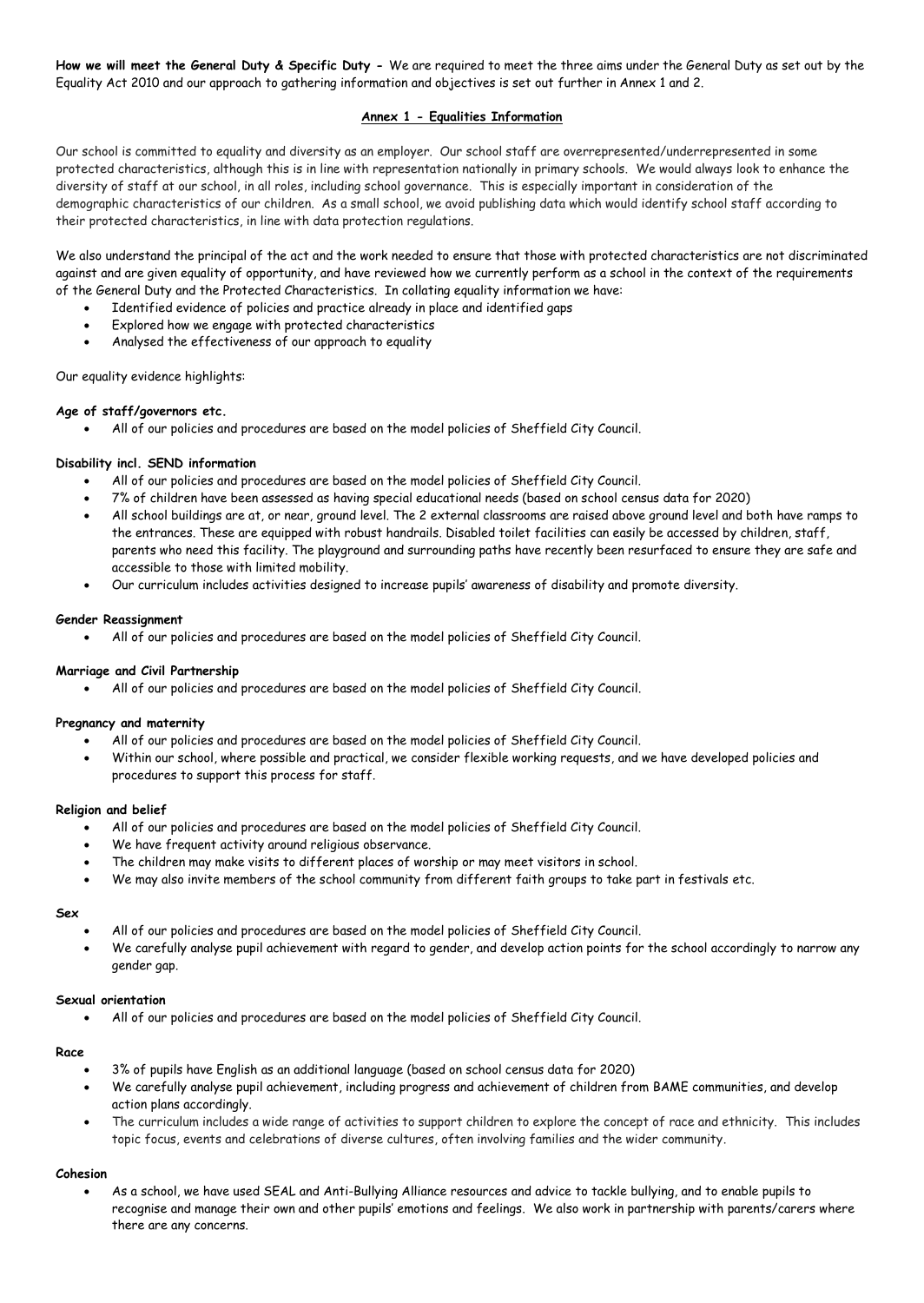**How we will meet the General Duty & Specific Duty -** We are required to meet the three aims under the General Duty as set out by the Equality Act 2010 and our approach to gathering information and objectives is set out further in Annex 1 and 2.

#### **Annex 1 - Equalities Information**

Our school is committed to equality and diversity as an employer. Our school staff are overrepresented/underrepresented in some protected characteristics, although this is in line with representation nationally in primary schools. We would always look to enhance the diversity of staff at our school, in all roles, including school governance. This is especially important in consideration of the demographic characteristics of our children. As a small school, we avoid publishing data which would identify school staff according to their protected characteristics, in line with data protection regulations.

We also understand the principal of the act and the work needed to ensure that those with protected characteristics are not discriminated against and are given equality of opportunity, and have reviewed how we currently perform as a school in the context of the requirements of the General Duty and the Protected Characteristics. In collating equality information we have:

- Identified evidence of policies and practice already in place and identified gaps
- Explored how we engage with protected characteristics
- Analysed the effectiveness of our approach to equality

Our equality evidence highlights:

#### **Age of staff/governors etc.**

All of our policies and procedures are based on the model policies of Sheffield City Council.

#### **Disability incl. SEND information**

- All of our policies and procedures are based on the model policies of Sheffield City Council.
- 7% of children have been assessed as having special educational needs (based on school census data for 2020)
- All school buildings are at, or near, ground level. The 2 external classrooms are raised above ground level and both have ramps to the entrances. These are equipped with robust handrails. Disabled toilet facilities can easily be accessed by children, staff, parents who need this facility. The playground and surrounding paths have recently been resurfaced to ensure they are safe and accessible to those with limited mobility.
- Our curriculum includes activities designed to increase pupils' awareness of disability and promote diversity.

#### **Gender Reassignment**

All of our policies and procedures are based on the model policies of Sheffield City Council.

#### **Marriage and Civil Partnership**

All of our policies and procedures are based on the model policies of Sheffield City Council.

#### **Pregnancy and maternity**

- All of our policies and procedures are based on the model policies of Sheffield City Council.
- Within our school, where possible and practical, we consider flexible working requests, and we have developed policies and procedures to support this process for staff.

#### **Religion and belief**

- All of our policies and procedures are based on the model policies of Sheffield City Council.
- We have frequent activity around religious observance.
- The children may make visits to different places of worship or may meet visitors in school.
- We may also invite members of the school community from different faith groups to take part in festivals etc.

#### **Sex**

- All of our policies and procedures are based on the model policies of Sheffield City Council.
- We carefully analyse pupil achievement with regard to gender, and develop action points for the school accordingly to narrow any gender gap.

#### **Sexual orientation**

All of our policies and procedures are based on the model policies of Sheffield City Council.

#### **Race**

- 3% of pupils have English as an additional language (based on school census data for 2020)
- We carefully analyse pupil achievement, including progress and achievement of children from BAME communities, and develop action plans accordingly.
- The curriculum includes a wide range of activities to support children to explore the concept of race and ethnicity. This includes topic focus, events and celebrations of diverse cultures, often involving families and the wider community.

#### **Cohesion**

 As a school, we have used SEAL and Anti-Bullying Alliance resources and advice to tackle bullying, and to enable pupils to recognise and manage their own and other pupils' emotions and feelings. We also work in partnership with parents/carers where there are any concerns.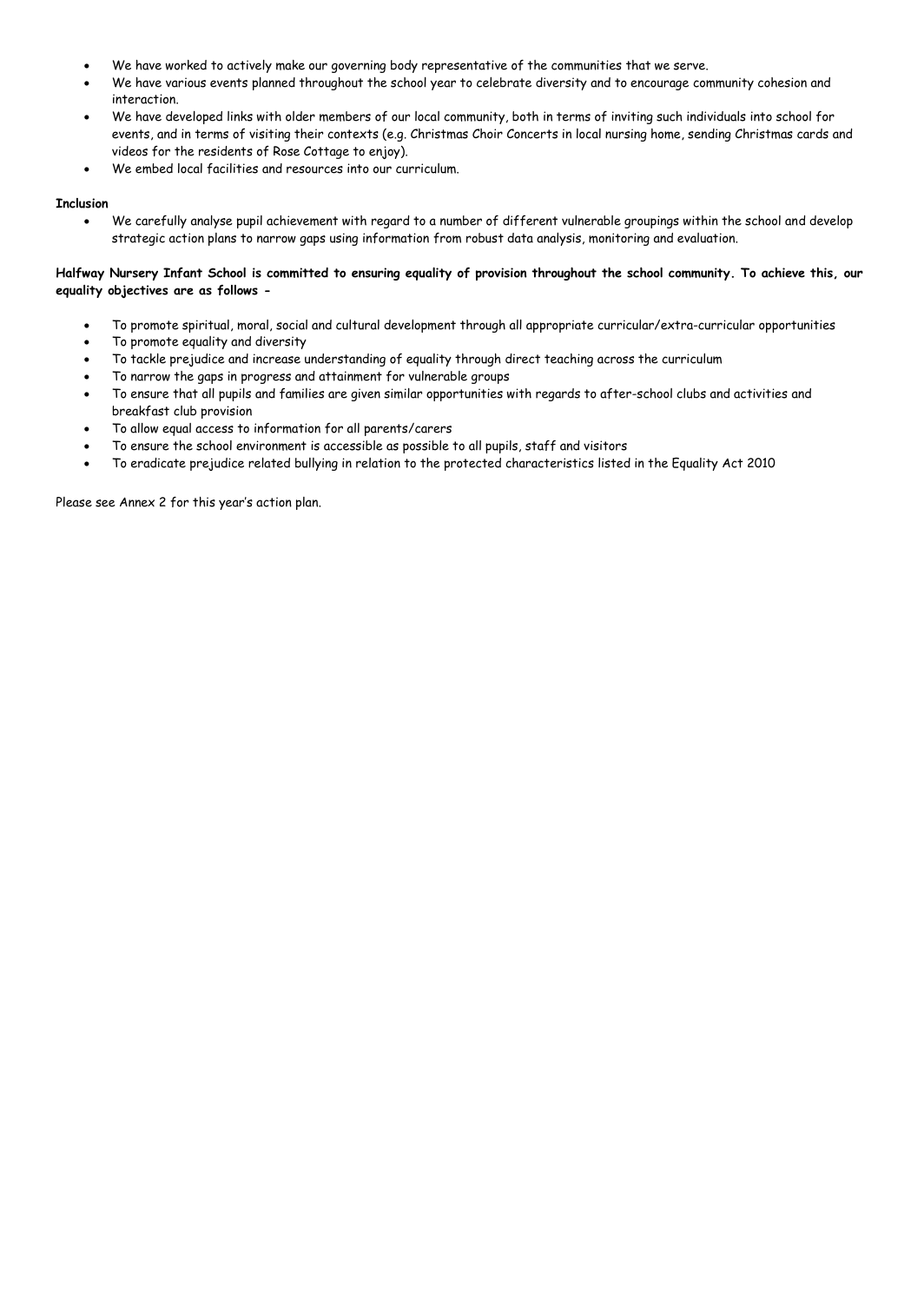- We have worked to actively make our governing body representative of the communities that we serve.
- We have various events planned throughout the school year to celebrate diversity and to encourage community cohesion and interaction.
- We have developed links with older members of our local community, both in terms of inviting such individuals into school for events, and in terms of visiting their contexts (e.g. Christmas Choir Concerts in local nursing home, sending Christmas cards and videos for the residents of Rose Cottage to enjoy).
- We embed local facilities and resources into our curriculum.

#### **Inclusion**

 We carefully analyse pupil achievement with regard to a number of different vulnerable groupings within the school and develop strategic action plans to narrow gaps using information from robust data analysis, monitoring and evaluation.

#### **Halfway Nursery Infant School is committed to ensuring equality of provision throughout the school community. To achieve this, our equality objectives are as follows -**

- To promote spiritual, moral, social and cultural development through all appropriate curricular/extra-curricular opportunities
- To promote equality and diversity
- To tackle prejudice and increase understanding of equality through direct teaching across the curriculum
- To narrow the gaps in progress and attainment for vulnerable groups
- To ensure that all pupils and families are given similar opportunities with regards to after-school clubs and activities and breakfast club provision
- To allow equal access to information for all parents/carers
- To ensure the school environment is accessible as possible to all pupils, staff and visitors
- To eradicate prejudice related bullying in relation to the protected characteristics listed in the Equality Act 2010

Please see Annex 2 for this year's action plan.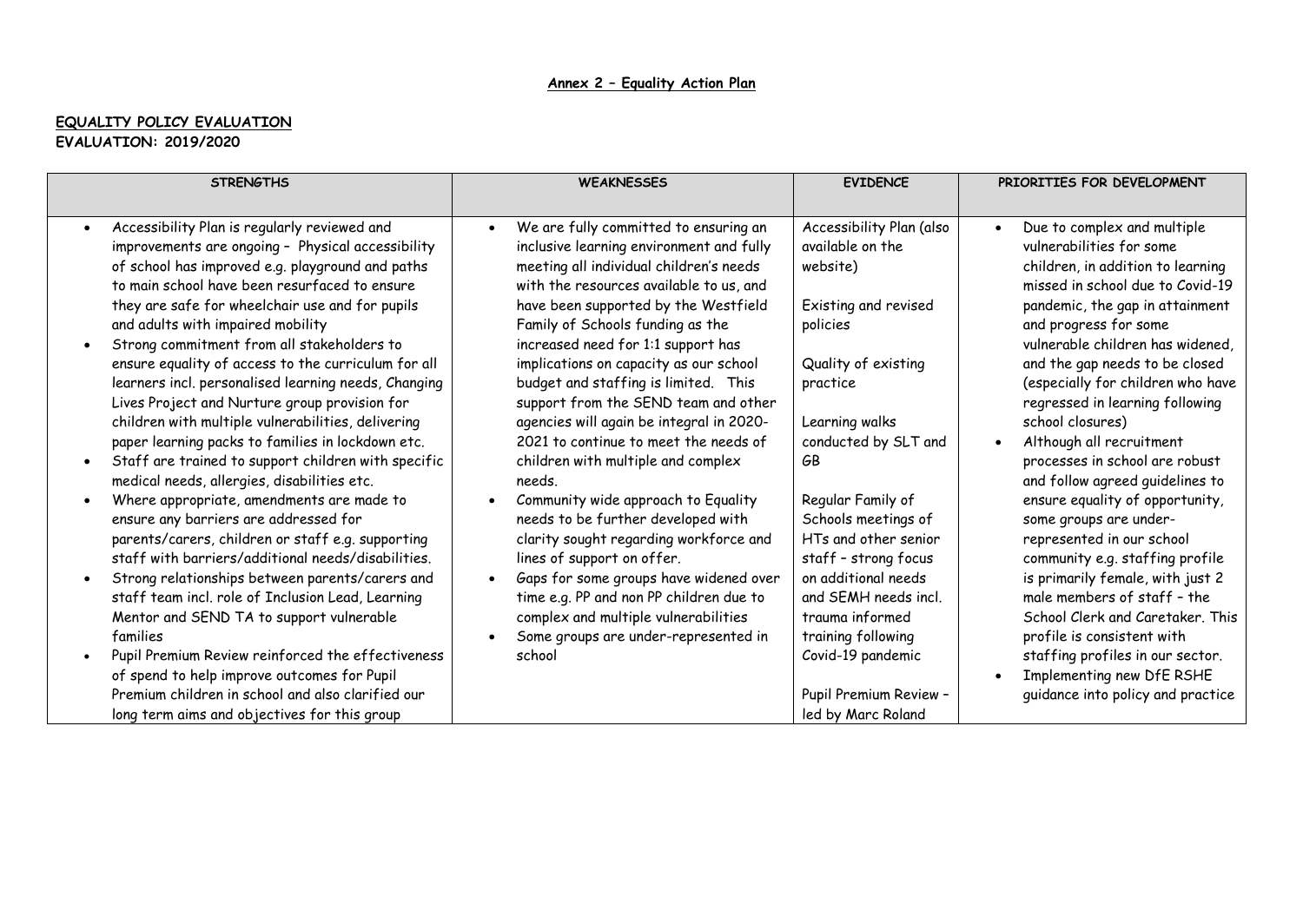## **Annex 2 – Equality Action Plan**

### **EQUALITY POLICY EVALUATION EVALUATION: 2019/2020**

| <b>STRENGTHS</b>                                                                                                                                                                                                                                                                                                                                                                                                                                                                                                                                                                                                                                                                                                                                                                                                                                                                                                                                                                                                                                                                                | <b>WEAKNESSES</b>                                                                                                                                                                                                                                                                                                                                                                                                                                                                                                                                                                                                                                                                                                                                                                                                                          | <b>EVIDENCE</b>                                                                                                                                                                                                                                                                                                                               | PRIORITIES FOR DEVELOPMENT                                                                                                                                                                                                                                                                                                                                                                                                                                                                                                                                                                                                                                                                                       |  |
|-------------------------------------------------------------------------------------------------------------------------------------------------------------------------------------------------------------------------------------------------------------------------------------------------------------------------------------------------------------------------------------------------------------------------------------------------------------------------------------------------------------------------------------------------------------------------------------------------------------------------------------------------------------------------------------------------------------------------------------------------------------------------------------------------------------------------------------------------------------------------------------------------------------------------------------------------------------------------------------------------------------------------------------------------------------------------------------------------|--------------------------------------------------------------------------------------------------------------------------------------------------------------------------------------------------------------------------------------------------------------------------------------------------------------------------------------------------------------------------------------------------------------------------------------------------------------------------------------------------------------------------------------------------------------------------------------------------------------------------------------------------------------------------------------------------------------------------------------------------------------------------------------------------------------------------------------------|-----------------------------------------------------------------------------------------------------------------------------------------------------------------------------------------------------------------------------------------------------------------------------------------------------------------------------------------------|------------------------------------------------------------------------------------------------------------------------------------------------------------------------------------------------------------------------------------------------------------------------------------------------------------------------------------------------------------------------------------------------------------------------------------------------------------------------------------------------------------------------------------------------------------------------------------------------------------------------------------------------------------------------------------------------------------------|--|
|                                                                                                                                                                                                                                                                                                                                                                                                                                                                                                                                                                                                                                                                                                                                                                                                                                                                                                                                                                                                                                                                                                 |                                                                                                                                                                                                                                                                                                                                                                                                                                                                                                                                                                                                                                                                                                                                                                                                                                            |                                                                                                                                                                                                                                                                                                                                               |                                                                                                                                                                                                                                                                                                                                                                                                                                                                                                                                                                                                                                                                                                                  |  |
| Accessibility Plan is regularly reviewed and<br>$\bullet$<br>improvements are ongoing - Physical accessibility<br>of school has improved e.g. playground and paths<br>to main school have been resurfaced to ensure<br>they are safe for wheelchair use and for pupils<br>and adults with impaired mobility<br>Strong commitment from all stakeholders to<br>ensure equality of access to the curriculum for all<br>learners incl. personalised learning needs, Changing<br>Lives Project and Nurture group provision for<br>children with multiple vulnerabilities, delivering<br>paper learning packs to families in lockdown etc.<br>Staff are trained to support children with specific<br>medical needs, allergies, disabilities etc.<br>Where appropriate, amendments are made to<br>ensure any barriers are addressed for<br>parents/carers, children or staff e.g. supporting<br>staff with barriers/additional needs/disabilities.<br>Strong relationships between parents/carers and<br>staff team incl. role of Inclusion Lead, Learning<br>Mentor and SEND TA to support vulnerable | We are fully committed to ensuring an<br>inclusive learning environment and fully<br>meeting all individual children's needs<br>with the resources available to us, and<br>have been supported by the Westfield<br>Family of Schools funding as the<br>increased need for 1:1 support has<br>implications on capacity as our school<br>budget and staffing is limited. This<br>support from the SEND team and other<br>agencies will again be integral in 2020-<br>2021 to continue to meet the needs of<br>children with multiple and complex<br>needs.<br>Community wide approach to Equality<br>needs to be further developed with<br>clarity sought regarding workforce and<br>lines of support on offer.<br>Gaps for some groups have widened over<br>time e.g. PP and non PP children due to<br>complex and multiple vulnerabilities | Accessibility Plan (also<br>available on the<br>website)<br>Existing and revised<br>policies<br>Quality of existing<br>practice<br>Learning walks<br>conducted by SLT and<br>GΒ<br>Regular Family of<br>Schools meetings of<br>HTs and other senior<br>staff - strong focus<br>on additional needs<br>and SEMH needs incl.<br>trauma informed | Due to complex and multiple<br>$\bullet$<br>vulnerabilities for some<br>children, in addition to learning<br>missed in school due to Covid-19<br>pandemic, the gap in attainment<br>and progress for some<br>vulnerable children has widened,<br>and the gap needs to be closed<br>(especially for children who have<br>regressed in learning following<br>school closures)<br>Although all recruitment<br>processes in school are robust<br>and follow agreed guidelines to<br>ensure equality of opportunity,<br>some groups are under-<br>represented in our school<br>community e.g. staffing profile<br>is primarily female, with just 2<br>male members of staff - the<br>School Clerk and Caretaker. This |  |
| families                                                                                                                                                                                                                                                                                                                                                                                                                                                                                                                                                                                                                                                                                                                                                                                                                                                                                                                                                                                                                                                                                        | Some groups are under-represented in                                                                                                                                                                                                                                                                                                                                                                                                                                                                                                                                                                                                                                                                                                                                                                                                       | training following                                                                                                                                                                                                                                                                                                                            | profile is consistent with                                                                                                                                                                                                                                                                                                                                                                                                                                                                                                                                                                                                                                                                                       |  |
| Pupil Premium Review reinforced the effectiveness<br>$\bullet$                                                                                                                                                                                                                                                                                                                                                                                                                                                                                                                                                                                                                                                                                                                                                                                                                                                                                                                                                                                                                                  | school                                                                                                                                                                                                                                                                                                                                                                                                                                                                                                                                                                                                                                                                                                                                                                                                                                     | Covid-19 pandemic                                                                                                                                                                                                                                                                                                                             | staffing profiles in our sector.                                                                                                                                                                                                                                                                                                                                                                                                                                                                                                                                                                                                                                                                                 |  |
| of spend to help improve outcomes for Pupil                                                                                                                                                                                                                                                                                                                                                                                                                                                                                                                                                                                                                                                                                                                                                                                                                                                                                                                                                                                                                                                     |                                                                                                                                                                                                                                                                                                                                                                                                                                                                                                                                                                                                                                                                                                                                                                                                                                            |                                                                                                                                                                                                                                                                                                                                               | Implementing new DfE RSHE<br>$\bullet$                                                                                                                                                                                                                                                                                                                                                                                                                                                                                                                                                                                                                                                                           |  |
| Premium children in school and also clarified our                                                                                                                                                                                                                                                                                                                                                                                                                                                                                                                                                                                                                                                                                                                                                                                                                                                                                                                                                                                                                                               |                                                                                                                                                                                                                                                                                                                                                                                                                                                                                                                                                                                                                                                                                                                                                                                                                                            | Pupil Premium Review -                                                                                                                                                                                                                                                                                                                        | guidance into policy and practice                                                                                                                                                                                                                                                                                                                                                                                                                                                                                                                                                                                                                                                                                |  |
| long term aims and objectives for this group                                                                                                                                                                                                                                                                                                                                                                                                                                                                                                                                                                                                                                                                                                                                                                                                                                                                                                                                                                                                                                                    |                                                                                                                                                                                                                                                                                                                                                                                                                                                                                                                                                                                                                                                                                                                                                                                                                                            | led by Marc Roland                                                                                                                                                                                                                                                                                                                            |                                                                                                                                                                                                                                                                                                                                                                                                                                                                                                                                                                                                                                                                                                                  |  |